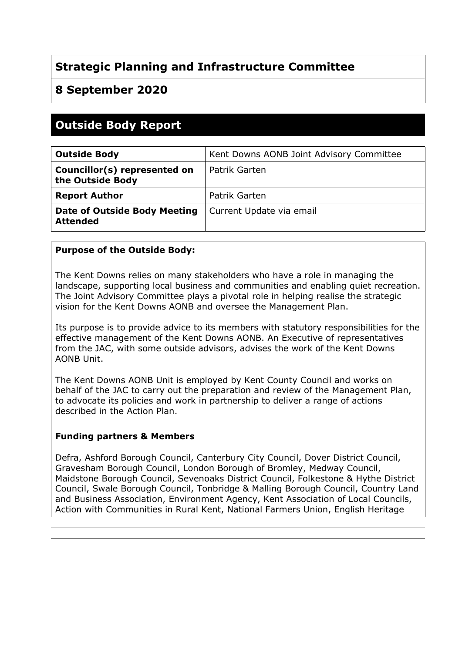# **Strategic Planning and Infrastructure Committee**

**8 September 2020**

# **Outside Body Report**

| <b>Outside Body</b>                              | Kent Downs AONB Joint Advisory Committee |
|--------------------------------------------------|------------------------------------------|
| Councillor(s) represented on<br>the Outside Body | Patrik Garten                            |
| <b>Report Author</b>                             | Patrik Garten                            |
| Date of Outside Body Meeting<br><b>Attended</b>  | Current Update via email                 |

## **Purpose of the Outside Body:**

The Kent Downs relies on many stakeholders who have a role in managing the landscape, supporting local business and communities and enabling quiet recreation. The Joint Advisory Committee plays a pivotal role in helping realise the strategic vision for the Kent Downs AONB and oversee the Management Plan.

Its purpose is to provide advice to its members with statutory responsibilities for the effective management of the Kent Downs AONB. An Executive of representatives from the JAC, with some outside advisors, advises the work of the Kent Downs AONB Unit.

The Kent Downs AONB Unit is employed by Kent County Council and works on behalf of the JAC to carry out the preparation and review of the Management Plan, to advocate its policies and work in partnership to deliver a range of actions described in the Action Plan.

#### **Funding partners & Members**

Defra, Ashford Borough Council, Canterbury City Council, Dover District Council, Gravesham Borough Council, London Borough of Bromley, Medway Council, Maidstone Borough Council, Sevenoaks District Council, [Folkestone](https://www.google.co.uk/url?sa=t&rct=j&q=&esrc=s&source=web&cd=1&cad=rja&uact=8&ved=2ahUKEwiW6YaZ84XdAhWGDMAKHbVpBmUQFjAAegQIBRAD&url=http%3A%2F%2Fwww.folkestone-hythe.gov.uk%2F&usg=AOvVaw1RJ8BF9eoE63clt2S5X_8H) & Hythe District [Council](https://www.google.co.uk/url?sa=t&rct=j&q=&esrc=s&source=web&cd=1&cad=rja&uact=8&ved=2ahUKEwiW6YaZ84XdAhWGDMAKHbVpBmUQFjAAegQIBRAD&url=http%3A%2F%2Fwww.folkestone-hythe.gov.uk%2F&usg=AOvVaw1RJ8BF9eoE63clt2S5X_8H), Swale Borough Council, Tonbridge & Malling Borough Council, Country Land and Business Association, Environment Agency, Kent Association of Local Councils, Action with Communities in Rural Kent, National Farmers Union, English Heritage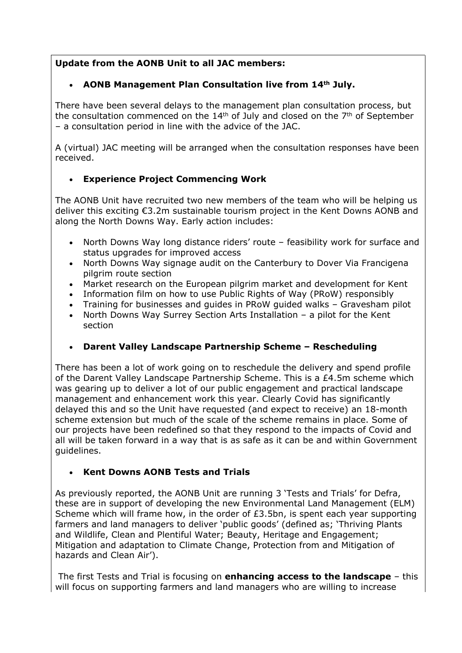# **Update from the AONB Unit to all JAC members:**

## **AONB Management Plan Consultation live from 14th July.**

There have been several delays to the management plan consultation process, but the consultation commenced on the  $14<sup>th</sup>$  of July and closed on the  $7<sup>th</sup>$  of September – a consultation period in line with the advice of the JAC.

A (virtual) JAC meeting will be arranged when the consultation responses have been received.

# **Experience Project Commencing Work**

The AONB Unit have recruited two new members of the team who will be helping us deliver this exciting €3.2m sustainable tourism project in the Kent Downs AONB and along the North Downs Way. Early action includes:

- North Downs Way long distance riders' route feasibility work for surface and status upgrades for improved access
- North Downs Way signage audit on the Canterbury to Dover Via Francigena pilgrim route section
- Market research on the European pilgrim market and development for Kent
- Information film on how to use Public Rights of Way (PRoW) responsibly
- Training for businesses and guides in PRoW guided walks Gravesham pilot
- North Downs Way Surrey Section Arts Installation a pilot for the Kent section
- **Darent Valley Landscape Partnership Scheme – Rescheduling**

There has been a lot of work going on to reschedule the delivery and spend profile of the Darent Valley Landscape Partnership Scheme. This is a £4.5m scheme which was gearing up to deliver a lot of our public engagement and practical landscape management and enhancement work this year. Clearly Covid has significantly delayed this and so the Unit have requested (and expect to receive) an 18-month scheme extension but much of the scale of the scheme remains in place. Some of our projects have been redefined so that they respond to the impacts of Covid and all will be taken forward in a way that is as safe as it can be and within Government guidelines.

## **Kent Downs AONB Tests and Trials**

As previously reported, the AONB Unit are running 3 'Tests and Trials' for Defra, these are in support of developing the new Environmental Land Management (ELM) Scheme which will frame how, in the order of £3.5bn, is spent each year supporting farmers and land managers to deliver 'public goods' (defined as; 'Thriving Plants and Wildlife, Clean and Plentiful Water; Beauty, Heritage and Engagement; Mitigation and adaptation to Climate Change, Protection from and Mitigation of hazards and Clean Air').

The first Tests and Trial is focusing on **enhancing access to the landscape** – this will focus on supporting farmers and land managers who are willing to increase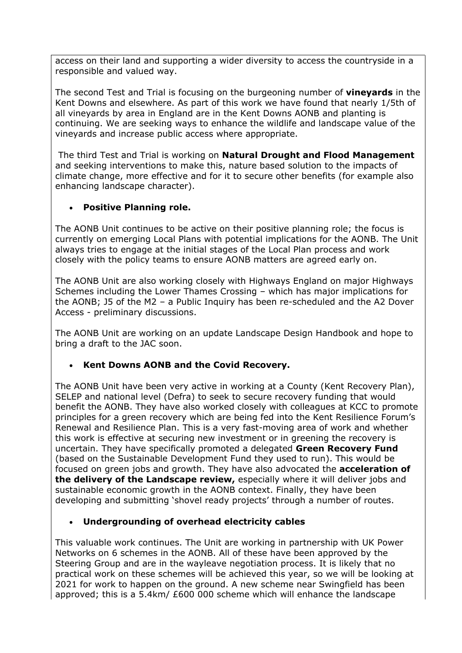access on their land and supporting a wider diversity to access the countryside in a responsible and valued way.

The second Test and Trial is focusing on the burgeoning number of **vineyards** in the Kent Downs and elsewhere. As part of this work we have found that nearly 1/5th of all vineyards by area in England are in the Kent Downs AONB and planting is continuing. We are seeking ways to enhance the wildlife and landscape value of the vineyards and increase public access where appropriate.

The third Test and Trial is working on **Natural Drought and Flood Management** and seeking interventions to make this, nature based solution to the impacts of climate change, more effective and for it to secure other benefits (for example also enhancing landscape character).

## **Positive Planning role.**

The AONB Unit continues to be active on their positive planning role; the focus is currently on emerging Local Plans with potential implications for the AONB. The Unit always tries to engage at the initial stages of the Local Plan process and work closely with the policy teams to ensure AONB matters are agreed early on.

The AONB Unit are also working closely with Highways England on major Highways Schemes including the Lower Thames Crossing – which has major implications for the AONB; J5 of the M2 – a Public Inquiry has been re-scheduled and the A2 Dover Access - preliminary discussions.

The AONB Unit are working on an update Landscape Design Handbook and hope to bring a draft to the JAC soon.

#### **Kent Downs AONB and the Covid Recovery.**

The AONB Unit have been very active in working at a County (Kent Recovery Plan), SELEP and national level (Defra) to seek to secure recovery funding that would benefit the AONB. They have also worked closely with colleagues at KCC to promote principles for a green recovery which are being fed into the Kent Resilience Forum's Renewal and Resilience Plan. This is a very fast-moving area of work and whether this work is effective at securing new investment or in greening the recovery is uncertain. They have specifically promoted a delegated **Green Recovery Fund** (based on the Sustainable Development Fund they used to run). This would be focused on green jobs and growth. They have also advocated the **acceleration of the delivery of the [Landscape](https://mail.midkent.gov.uk/owa/redir.aspx?REF=b14LCEtctPCDbf0U51GYU01ij0g8qHWGRDGMfx_W17vWzdPKoSLYCAFodHRwczovL3d3dy5nb3YudWsvZ292ZXJubWVudC9wdWJsaWNhdGlvbnMvZGVzaWduYXRlZC1sYW5kc2NhcGVzLW5hdGlvbmFsLXBhcmtzLWFuZC1hb25icy0yMDE4LXJldmlldw..) review,** especially where it will deliver jobs and sustainable economic growth in the AONB context. Finally, they have been developing and submitting 'shovel ready projects' through a number of routes.

#### **Undergrounding of overhead electricity cables**

This valuable work continues. The Unit are working in partnership with UK Power Networks on 6 schemes in the AONB. All of these have been approved by the Steering Group and are in the wayleave negotiation process. It is likely that no practical work on these schemes will be achieved this year, so we will be looking at 2021 for work to happen on the ground. A new scheme near Swingfield has been approved; this is a 5.4km/ £600 000 scheme which will enhance the landscape